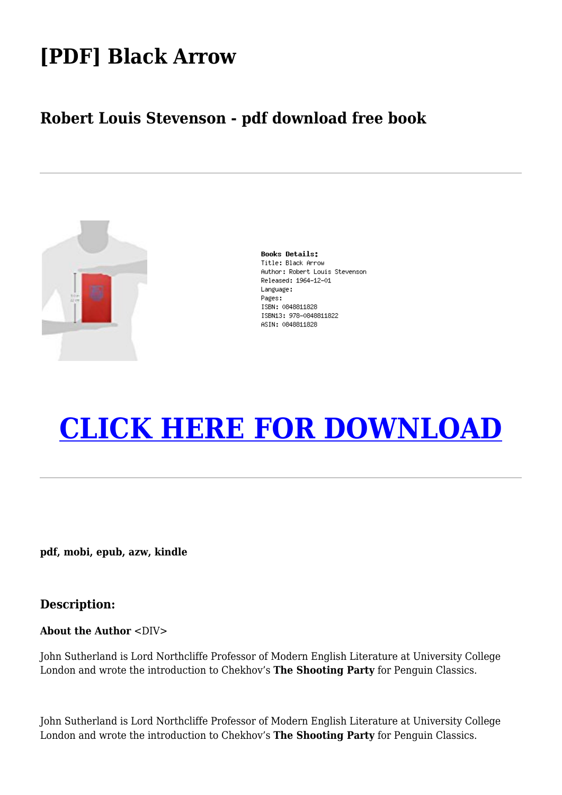## **[PDF] Black Arrow**

### **Robert Louis Stevenson - pdf download free book**



**Books Details:** Title: Black Arrow Author: Robert Louis Stevenson Released: 1964-12-01 Language: Pages: ISBN: 0848811828 ISBN13: 978-0848811822 ASIN: 0848811828

# **[CLICK HERE FOR DOWNLOAD](http://red.wutf.space/books3/?pid=1190029434&d=20-09-30&dm=null)**

**pdf, mobi, epub, azw, kindle**

#### **Description:**

#### **About the Author** <DIV>

John Sutherland is Lord Northcliffe Professor of Modern English Literature at University College London and wrote the introduction to Chekhov's **The Shooting Party** for Penguin Classics.

John Sutherland is Lord Northcliffe Professor of Modern English Literature at University College London and wrote the introduction to Chekhov's **The Shooting Party** for Penguin Classics.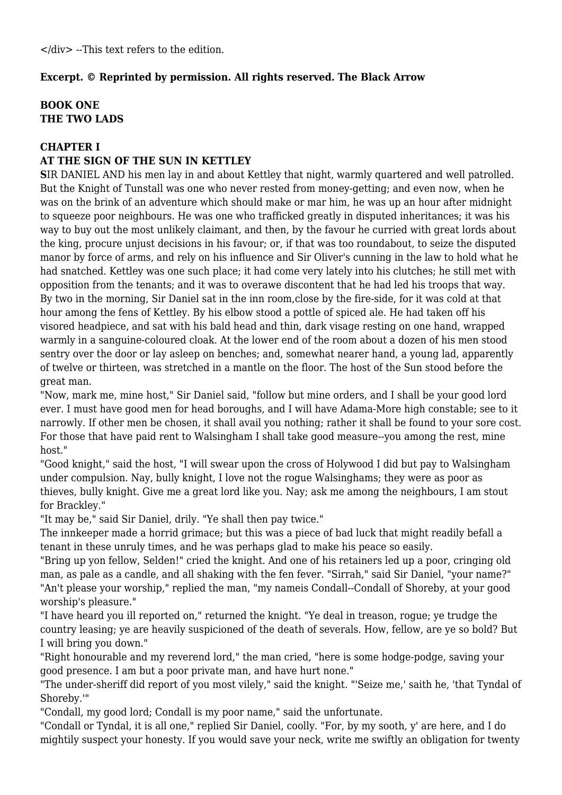</div> --This text refers to the edition.

#### **Excerpt. © Reprinted by permission. All rights reserved. The Black Arrow**

#### **BOOK ONE THE TWO LADS**

#### **CHAPTER I**

#### **AT THE SIGN OF THE SUN IN KETTLEY**

**S**IR DANIEL AND his men lay in and about Kettley that night, warmly quartered and well patrolled. But the Knight of Tunstall was one who never rested from money-getting; and even now, when he was on the brink of an adventure which should make or mar him, he was up an hour after midnight to squeeze poor neighbours. He was one who trafficked greatly in disputed inheritances; it was his way to buy out the most unlikely claimant, and then, by the favour he curried with great lords about the king, procure unjust decisions in his favour; or, if that was too roundabout, to seize the disputed manor by force of arms, and rely on his influence and Sir Oliver's cunning in the law to hold what he had snatched. Kettley was one such place; it had come very lately into his clutches; he still met with opposition from the tenants; and it was to overawe discontent that he had led his troops that way. By two in the morning, Sir Daniel sat in the inn room,close by the fire-side, for it was cold at that hour among the fens of Kettley. By his elbow stood a pottle of spiced ale. He had taken off his visored headpiece, and sat with his bald head and thin, dark visage resting on one hand, wrapped warmly in a sanguine-coloured cloak. At the lower end of the room about a dozen of his men stood sentry over the door or lay asleep on benches; and, somewhat nearer hand, a young lad, apparently of twelve or thirteen, was stretched in a mantle on the floor. The host of the Sun stood before the great man.

"Now, mark me, mine host," Sir Daniel said, "follow but mine orders, and I shall be your good lord ever. I must have good men for head boroughs, and I will have Adama-More high constable; see to it narrowly. If other men be chosen, it shall avail you nothing; rather it shall be found to your sore cost. For those that have paid rent to Walsingham I shall take good measure--you among the rest, mine host."

"Good knight," said the host, "I will swear upon the cross of Holywood I did but pay to Walsingham under compulsion. Nay, bully knight, I love not the rogue Walsinghams; they were as poor as thieves, bully knight. Give me a great lord like you. Nay; ask me among the neighbours, I am stout for Brackley."

"It may be," said Sir Daniel, drily. "Ye shall then pay twice."

The innkeeper made a horrid grimace; but this was a piece of bad luck that might readily befall a tenant in these unruly times, and he was perhaps glad to make his peace so easily.

"Bring up yon fellow, Selden!" cried the knight. And one of his retainers led up a poor, cringing old man, as pale as a candle, and all shaking with the fen fever. "Sirrah," said Sir Daniel, "your name?" "An't please your worship," replied the man, "my nameis Condall--Condall of Shoreby, at your good worship's pleasure."

"I have heard you ill reported on," returned the knight. "Ye deal in treason, rogue; ye trudge the country leasing; ye are heavily suspicioned of the death of severals. How, fellow, are ye so bold? But I will bring you down."

"Right honourable and my reverend lord," the man cried, "here is some hodge-podge, saving your good presence. I am but a poor private man, and have hurt none."

"The under-sheriff did report of you most vilely," said the knight. "'Seize me,' saith he, 'that Tyndal of Shoreby.'"

"Condall, my good lord; Condall is my poor name," said the unfortunate.

"Condall or Tyndal, it is all one," replied Sir Daniel, coolly. "For, by my sooth, y' are here, and I do mightily suspect your honesty. If you would save your neck, write me swiftly an obligation for twenty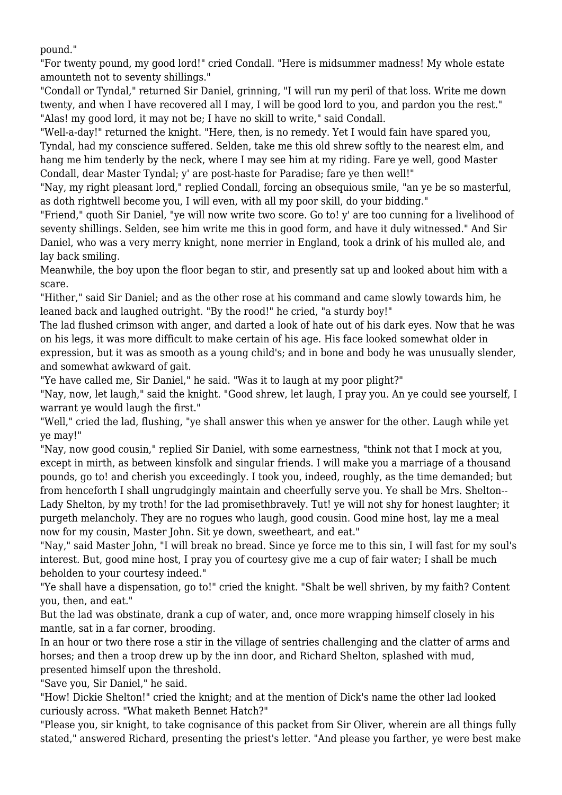pound."

"For twenty pound, my good lord!" cried Condall. "Here is midsummer madness! My whole estate amounteth not to seventy shillings."

"Condall or Tyndal," returned Sir Daniel, grinning, "I will run my peril of that loss. Write me down twenty, and when I have recovered all I may, I will be good lord to you, and pardon you the rest." "Alas! my good lord, it may not be; I have no skill to write," said Condall.

"Well-a-day!" returned the knight. "Here, then, is no remedy. Yet I would fain have spared you, Tyndal, had my conscience suffered. Selden, take me this old shrew softly to the nearest elm, and hang me him tenderly by the neck, where I may see him at my riding. Fare ye well, good Master Condall, dear Master Tyndal; y' are post-haste for Paradise; fare ye then well!"

"Nay, my right pleasant lord," replied Condall, forcing an obsequious smile, "an ye be so masterful, as doth rightwell become you, I will even, with all my poor skill, do your bidding."

"Friend," quoth Sir Daniel, "ye will now write two score. Go to! y' are too cunning for a livelihood of seventy shillings. Selden, see him write me this in good form, and have it duly witnessed." And Sir Daniel, who was a very merry knight, none merrier in England, took a drink of his mulled ale, and lay back smiling.

Meanwhile, the boy upon the floor began to stir, and presently sat up and looked about him with a scare.

"Hither," said Sir Daniel; and as the other rose at his command and came slowly towards him, he leaned back and laughed outright. "By the rood!" he cried, "a sturdy boy!"

The lad flushed crimson with anger, and darted a look of hate out of his dark eyes. Now that he was on his legs, it was more difficult to make certain of his age. His face looked somewhat older in expression, but it was as smooth as a young child's; and in bone and body he was unusually slender, and somewhat awkward of gait.

"Ye have called me, Sir Daniel," he said. "Was it to laugh at my poor plight?"

"Nay, now, let laugh," said the knight. "Good shrew, let laugh, I pray you. An ye could see yourself, I warrant ye would laugh the first."

"Well," cried the lad, flushing, "ye shall answer this when ye answer for the other. Laugh while yet ye may!"

"Nay, now good cousin," replied Sir Daniel, with some earnestness, "think not that I mock at you, except in mirth, as between kinsfolk and singular friends. I will make you a marriage of a thousand pounds, go to! and cherish you exceedingly. I took you, indeed, roughly, as the time demanded; but from henceforth I shall ungrudgingly maintain and cheerfully serve you. Ye shall be Mrs. Shelton-- Lady Shelton, by my troth! for the lad promisethbravely. Tut! ye will not shy for honest laughter; it purgeth melancholy. They are no rogues who laugh, good cousin. Good mine host, lay me a meal now for my cousin, Master John. Sit ye down, sweetheart, and eat."

"Nay," said Master John, "I will break no bread. Since ye force me to this sin, I will fast for my soul's interest. But, good mine host, I pray you of courtesy give me a cup of fair water; I shall be much beholden to your courtesy indeed."

"Ye shall have a dispensation, go to!" cried the knight. "Shalt be well shriven, by my faith? Content you, then, and eat."

But the lad was obstinate, drank a cup of water, and, once more wrapping himself closely in his mantle, sat in a far corner, brooding.

In an hour or two there rose a stir in the village of sentries challenging and the clatter of arms and horses; and then a troop drew up by the inn door, and Richard Shelton, splashed with mud, presented himself upon the threshold.

"Save you, Sir Daniel," he said.

"How! Dickie Shelton!" cried the knight; and at the mention of Dick's name the other lad looked curiously across. "What maketh Bennet Hatch?"

"Please you, sir knight, to take cognisance of this packet from Sir Oliver, wherein are all things fully stated," answered Richard, presenting the priest's letter. "And please you farther, ye were best make